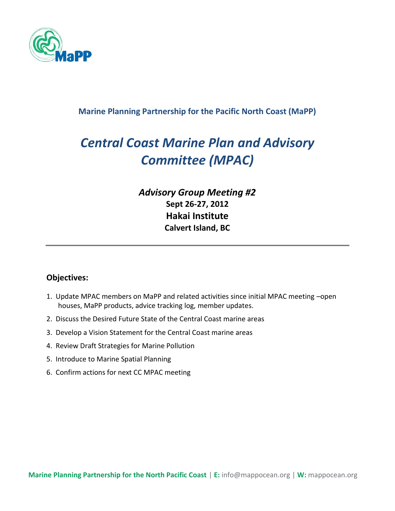

#### **Marine Planning Partnership for the Pacific North Coast (MaPP)**

# *Central Coast Marine Plan and Advisory Committee (MPAC)*

### *Advisory Group Meeting #2* **Sept 26-27, 2012 Hakai Institute Calvert Island, BC**

#### **Objectives:**

- 1. Update MPAC members on MaPP and related activities since initial MPAC meeting –open houses, MaPP products, advice tracking log, member updates.
- 2. Discuss the Desired Future State of the Central Coast marine areas
- 3. Develop a Vision Statement for the Central Coast marine areas
- 4. Review Draft Strategies for Marine Pollution
- 5. Introduce to Marine Spatial Planning
- 6. Confirm actions for next CC MPAC meeting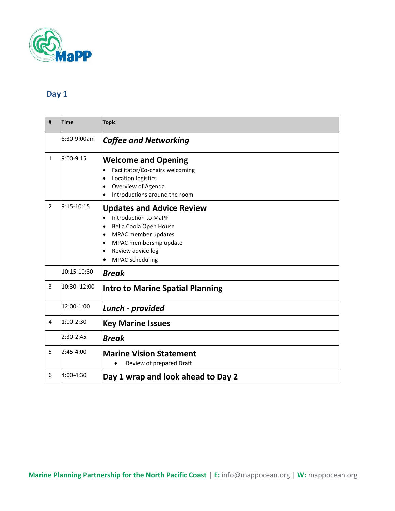

## **Day 1**

| #              | Time         | <b>Topic</b>                                                                                                                                                                                                                                        |
|----------------|--------------|-----------------------------------------------------------------------------------------------------------------------------------------------------------------------------------------------------------------------------------------------------|
|                | 8:30-9:00am  | <b>Coffee and Networking</b>                                                                                                                                                                                                                        |
| $\mathbf{1}$   | $9:00-9:15$  | <b>Welcome and Opening</b><br>Facilitator/Co-chairs welcoming<br>Location logistics<br>$\bullet$<br>Overview of Agenda<br>$\bullet$<br>Introductions around the room                                                                                |
| $\overline{2}$ | $9:15-10:15$ | <b>Updates and Advice Review</b><br>Introduction to MaPP<br>$\bullet$<br>Bella Coola Open House<br>$\bullet$<br>MPAC member updates<br>$\bullet$<br>MPAC membership update<br>$\bullet$<br>Review advice log<br>$\bullet$<br><b>MPAC Scheduling</b> |
|                | 10:15-10:30  | <b>Break</b>                                                                                                                                                                                                                                        |
| 3              | 10:30 -12:00 | <b>Intro to Marine Spatial Planning</b>                                                                                                                                                                                                             |
|                | 12:00-1:00   | Lunch - provided                                                                                                                                                                                                                                    |
| 4              | $1:00-2:30$  | <b>Key Marine Issues</b>                                                                                                                                                                                                                            |
|                | 2:30-2:45    | <b>Break</b>                                                                                                                                                                                                                                        |
| 5              | $2:45-4:00$  | <b>Marine Vision Statement</b><br>Review of prepared Draft                                                                                                                                                                                          |
| 6              | 4:00-4:30    | Day 1 wrap and look ahead to Day 2                                                                                                                                                                                                                  |